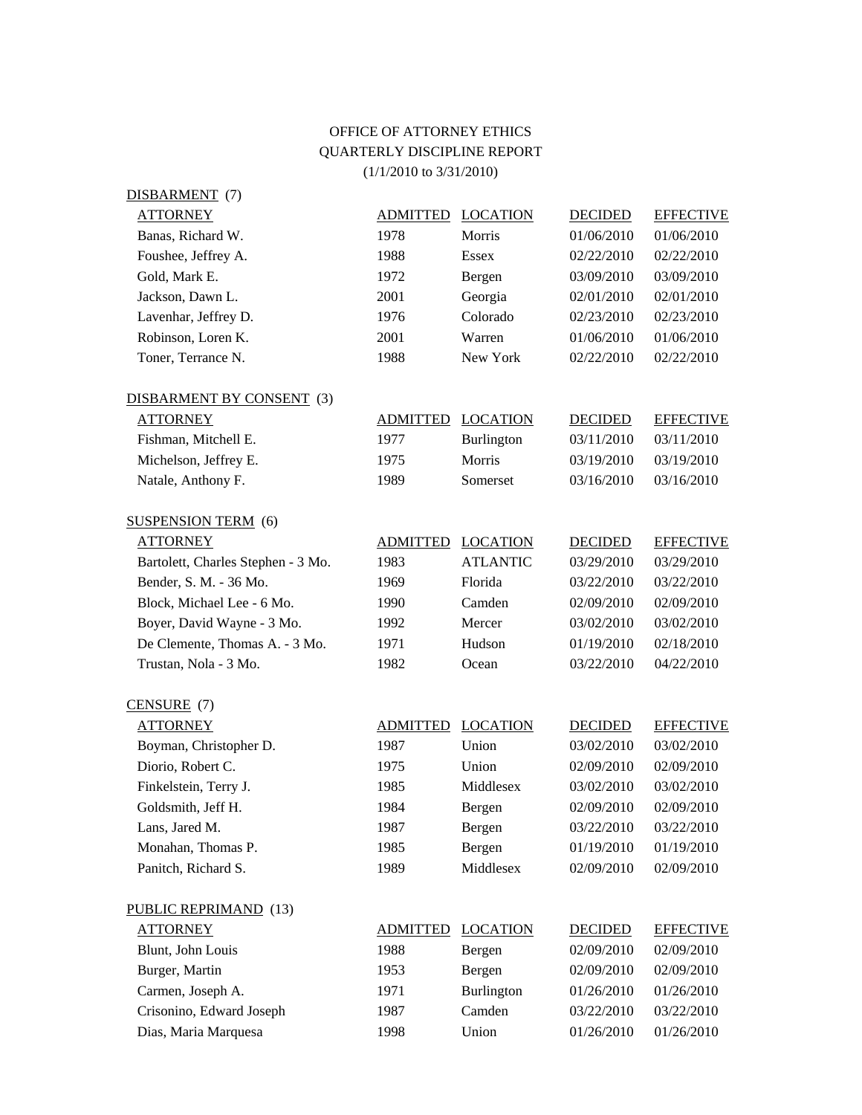## OFFICE OF ATTORNEY ETHICS QUARTERLY DISCIPLINE REPORT (1/1/2010 to 3/31/2010)

| DISBARMENT (7)                     |                 |                 |                |                  |
|------------------------------------|-----------------|-----------------|----------------|------------------|
| <b>ATTORNEY</b>                    | <b>ADMITTED</b> | <b>LOCATION</b> | <b>DECIDED</b> | <b>EFFECTIVE</b> |
| Banas, Richard W.                  | 1978            | Morris          | 01/06/2010     | 01/06/2010       |
| Foushee, Jeffrey A.                | 1988            | <b>Essex</b>    | 02/22/2010     | 02/22/2010       |
| Gold, Mark E.                      | 1972            | Bergen          | 03/09/2010     | 03/09/2010       |
| Jackson, Dawn L.                   | 2001            | Georgia         | 02/01/2010     | 02/01/2010       |
| Lavenhar, Jeffrey D.               | 1976            | Colorado        | 02/23/2010     | 02/23/2010       |
| Robinson, Loren K.                 | 2001            | Warren          | 01/06/2010     | 01/06/2010       |
| Toner, Terrance N.                 | 1988            | New York        | 02/22/2010     | 02/22/2010       |
| DISBARMENT BY CONSENT (3)          |                 |                 |                |                  |
| <b>ATTORNEY</b>                    | <b>ADMITTED</b> | <b>LOCATION</b> | <b>DECIDED</b> | <b>EFFECTIVE</b> |
| Fishman, Mitchell E.               | 1977            | Burlington      | 03/11/2010     | 03/11/2010       |
| Michelson, Jeffrey E.              | 1975            | Morris          | 03/19/2010     | 03/19/2010       |
| Natale, Anthony F.                 | 1989            | Somerset        | 03/16/2010     | 03/16/2010       |
| <b>SUSPENSION TERM (6)</b>         |                 |                 |                |                  |
| <b>ATTORNEY</b>                    | <b>ADMITTED</b> | <b>LOCATION</b> | <b>DECIDED</b> | <b>EFFECTIVE</b> |
| Bartolett, Charles Stephen - 3 Mo. | 1983            | <b>ATLANTIC</b> | 03/29/2010     | 03/29/2010       |
| Bender, S. M. - 36 Mo.             | 1969            | Florida         | 03/22/2010     | 03/22/2010       |
| Block, Michael Lee - 6 Mo.         | 1990            | Camden          | 02/09/2010     | 02/09/2010       |
| Boyer, David Wayne - 3 Mo.         | 1992            | Mercer          | 03/02/2010     | 03/02/2010       |
| De Clemente, Thomas A. - 3 Mo.     | 1971            | Hudson          | 01/19/2010     | 02/18/2010       |
| Trustan, Nola - 3 Mo.              | 1982            | Ocean           | 03/22/2010     | 04/22/2010       |
| $CENSURE$ (7)                      |                 |                 |                |                  |
| <b>ATTORNEY</b>                    | <b>ADMITTED</b> | <b>LOCATION</b> | <b>DECIDED</b> | <b>EFFECTIVE</b> |
| Boyman, Christopher D.             | 1987            | Union           | 03/02/2010     | 03/02/2010       |
| Diorio, Robert C.                  | 1975            | Union           | 02/09/2010     | 02/09/2010       |
| Finkelstein, Terry J.              | 1985            | Middlesex       | 03/02/2010     | 03/02/2010       |
| Goldsmith, Jeff H.                 | 1984            | Bergen          | 02/09/2010     | 02/09/2010       |
| Lans, Jared M.                     | 1987            | Bergen          | 03/22/2010     | 03/22/2010       |
| Monahan, Thomas P.                 | 1985            | Bergen          | 01/19/2010     | 01/19/2010       |
| Panitch, Richard S.                | 1989            | Middlesex       | 02/09/2010     | 02/09/2010       |
| <b>PUBLIC REPRIMAND</b> (13)       |                 |                 |                |                  |
| <b>ATTORNEY</b>                    | <b>ADMITTED</b> | <b>LOCATION</b> | <b>DECIDED</b> | <b>EFFECTIVE</b> |
| Blunt, John Louis                  | 1988            | Bergen          | 02/09/2010     | 02/09/2010       |
| Burger, Martin                     | 1953            | Bergen          | 02/09/2010     | 02/09/2010       |
| Carmen, Joseph A.                  | 1971            | Burlington      | 01/26/2010     | 01/26/2010       |
| Crisonino, Edward Joseph           | 1987            | Camden          | 03/22/2010     | 03/22/2010       |
| Dias, Maria Marquesa               | 1998            | Union           | 01/26/2010     | 01/26/2010       |